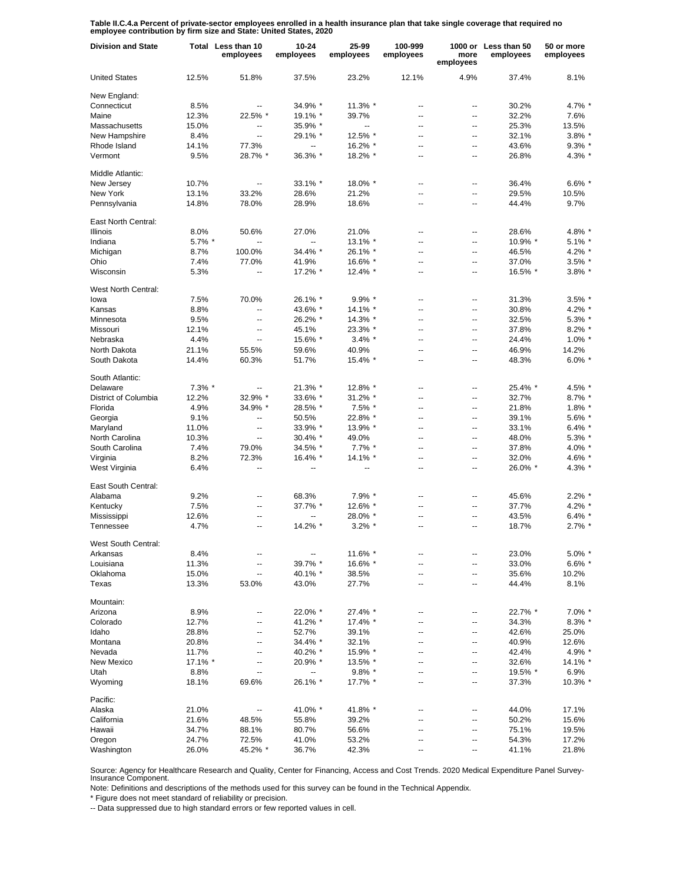**Table II.C.4.a Percent of private-sector employees enrolled in a health insurance plan that take single coverage that required no employee contribution by firm size and State: United States, 2020**

| <b>Division and State</b> |           | Total Less than 10<br>employees | 10-24<br>employees       | 25-99<br>employees       | 100-999<br>employees     | more<br>employees | 1000 or Less than 50<br>employees | 50 or more<br>employees |
|---------------------------|-----------|---------------------------------|--------------------------|--------------------------|--------------------------|-------------------|-----------------------------------|-------------------------|
| <b>United States</b>      | 12.5%     | 51.8%                           | 37.5%                    | 23.2%                    | 12.1%                    | 4.9%              | 37.4%                             | 8.1%                    |
| New England:              |           |                                 |                          |                          |                          |                   |                                   |                         |
| Connecticut               | 8.5%      | --                              | 34.9% *                  | 11.3% *                  | $\overline{\phantom{a}}$ | --                | 30.2%                             | 4.7% *                  |
| Maine                     | 12.3%     | 22.5% *                         | 19.1% *                  | 39.7%                    | --                       | --                | 32.2%                             | 7.6%                    |
| Massachusetts             | 15.0%     | ۰.                              | 35.9% *                  | $\overline{\phantom{a}}$ | --                       | --                | 25.3%                             | 13.5%                   |
| New Hampshire             | 8.4%      | $\overline{\phantom{a}}$        | 29.1% *                  | 12.5% *                  | --                       | --                | 32.1%                             | $3.8\%$ *               |
| Rhode Island              | 14.1%     | 77.3%                           | $\overline{\phantom{a}}$ | 16.2% *                  | $\overline{a}$           | $\overline{a}$    | 43.6%                             | $9.3\%$                 |
| Vermont                   | 9.5%      | 28.7% *                         | 36.3% *                  | 18.2% *                  | $\overline{a}$           | --                | 26.8%                             | 4.3% *                  |
| Middle Atlantic:          |           |                                 |                          |                          |                          |                   |                                   |                         |
| New Jersey                | 10.7%     | Щ,                              | 33.1% *                  | 18.0% *                  | $\overline{\phantom{a}}$ | ۰.                | 36.4%                             | $6.6\%$                 |
| New York                  | 13.1%     | 33.2%                           | 28.6%                    | 21.2%                    | $\overline{\phantom{a}}$ | ш,                | 29.5%                             | 10.5%                   |
| Pennsylvania              | 14.8%     | 78.0%                           | 28.9%                    | 18.6%                    | $\overline{a}$           | Ξ.                | 44.4%                             | 9.7%                    |
| East North Central:       |           |                                 |                          |                          |                          |                   |                                   |                         |
| <b>Illinois</b>           | 8.0%      | 50.6%                           | 27.0%                    | 21.0%                    | $\overline{a}$           | --                | 28.6%                             | 4.8%                    |
| Indiana                   | 5.7% *    | --                              | $\overline{a}$           | 13.1% *                  | $\overline{\phantom{a}}$ | --                | 10.9% *                           | 5.1%                    |
| Michigan                  | 8.7%      | 100.0%                          | 34.4% *                  | 26.1% *                  | $\overline{\phantom{a}}$ | --                | 46.5%                             | 4.2%                    |
| Ohio                      | 7.4%      | 77.0%                           | 41.9%                    | 16.6% *                  | $\overline{\phantom{a}}$ | -−                | 37.0%                             | $3.5\%$                 |
| Wisconsin                 | 5.3%      | ۵.                              | 17.2% *                  | 12.4% *                  | ÷.                       | Ξ.                | 16.5% *                           | $3.8\%$ *               |
| West North Central:       |           |                                 |                          |                          |                          |                   |                                   |                         |
| lowa                      | 7.5%      | 70.0%                           | 26.1% *                  | $9.9\%$ *                | --                       | --                | 31.3%                             | 3.5%                    |
| Kansas                    | 8.8%      | Ξ.                              | 43.6% *                  | 14.1% *                  | --                       | --                | 30.8%                             | 4.2%                    |
| Minnesota                 | 9.5%      | $\overline{a}$                  | 26.2% *                  | 14.3% *                  | $\overline{a}$           | $\overline{a}$    | 32.5%                             | 5.3%'                   |
| Missouri                  | 12.1%     | $\overline{\phantom{a}}$        | 45.1%                    | 23.3% *                  | --                       | --                | 37.8%                             | $8.2\%$                 |
| Nebraska                  | 4.4%      | $\overline{a}$                  | 15.6% *                  | $3.4\%$ *                | --                       | --                | 24.4%                             | $1.0\%$ $*$             |
| North Dakota              | 21.1%     | 55.5%                           | 59.6%                    | 40.9%                    | --                       | --                | 46.9%                             | 14.2%                   |
| South Dakota              | 14.4%     | 60.3%                           | 51.7%                    | 15.4% *                  | $\overline{a}$           | --                | 48.3%                             | $6.0\%$                 |
|                           |           |                                 |                          |                          |                          |                   |                                   |                         |
| South Atlantic:           |           |                                 |                          |                          |                          |                   |                                   |                         |
| Delaware                  | $7.3\%$ * | --                              | 21.3% *                  | 12.8% *                  | $\overline{\phantom{a}}$ | ۰.                | 25.4% *                           | 4.5% *                  |
| District of Columbia      | 12.2%     | 32.9% *                         | 33.6% *                  | 31.2% *                  | $\overline{\phantom{a}}$ | Ξ.                | 32.7%                             | $8.7\%$                 |
| Florida                   | 4.9%      | 34.9% *                         | 28.5% *                  | 7.5% *                   | $\overline{\phantom{a}}$ | ۰.                | 21.8%                             | $1.8\%$ $*$             |
| Georgia                   | 9.1%      | $\overline{a}$                  | 50.5%                    | 22.8% *                  | $\overline{a}$           | --                | 39.1%                             | $5.6\%$                 |
| Maryland                  | 11.0%     | $\overline{a}$                  | 33.9% *                  | 13.9% *                  | $\overline{\phantom{a}}$ | ۰.                | 33.1%                             | $6.4\%$                 |
| North Carolina            | 10.3%     | ц.                              | 30.4% *                  | 49.0%                    | $\overline{\phantom{a}}$ | Ξ.                | 48.0%                             | $5.3\%$ $*$             |
| South Carolina            | 7.4%      | 79.0%                           | 34.5% *                  | 7.7% *                   | $\overline{\phantom{a}}$ | ۰.                | 37.8%                             | 4.0% *                  |
| Virginia                  | 8.2%      | 72.3%                           | 16.4% *                  | 14.1% *                  | $\overline{\phantom{a}}$ | Ξ.                | 32.0%                             | 4.6% *                  |
| West Virginia             | 6.4%      | $\overline{a}$                  | --                       | $\overline{\phantom{a}}$ | $\overline{a}$           | ۰.                | 26.0% *                           | 4.3% *                  |
| East South Central:       |           |                                 |                          |                          |                          |                   |                                   |                         |
| Alabama                   | 9.2%      | --                              | 68.3%                    | $7.9\%$ *                | --                       | --                | 45.6%                             | $2.2\%$                 |
| Kentucky                  | 7.5%      | --                              | 37.7% *                  | 12.6% *                  | $\overline{\phantom{a}}$ | --                | 37.7%                             | 4.2% '                  |
| Mississippi               | 12.6%     | --                              | $\overline{a}$           | 28.0% *                  | $\overline{a}$           | --                | 43.5%                             | $6.4\%$                 |
| Tennessee                 | 4.7%      | Ш.                              | 14.2% *                  | $3.2\%$ *                |                          | Ξ.                | 18.7%                             | $2.7\%$ *               |
| West South Central:       |           |                                 |                          |                          |                          |                   |                                   |                         |
| Arkansas                  | 8.4%      |                                 | --                       | 11.6% *                  |                          | --                | 23.0%                             | $5.0\%$                 |
| Louisiana                 | 11.3%     | ۰.                              | 39.7% *                  | 16.6% *                  | --                       | ⊷                 | 33.0%                             | $6.6\%$                 |
| Oklahoma                  | 15.0%     | --                              | 40.1% *                  | 38.5%                    | --                       | ⊷                 | 35.6%                             | 10.2%                   |
| Texas                     | 13.3%     | 53.0%                           | 43.0%                    | 27.7%                    | --                       | ⊷                 | 44.4%                             | 8.1%                    |
| Mountain:                 |           |                                 |                          |                          |                          |                   |                                   |                         |
| Arizona                   | 8.9%      | --                              | 22.0% *                  | 27.4% *                  | ц.                       | --                | 22.7% *                           | $7.0\%$ $*$             |
| Colorado                  | 12.7%     | --                              | 41.2% *                  | 17.4% *                  | --                       | ⊷                 | 34.3%                             | $8.3\%$                 |
| Idaho                     | 28.8%     | --                              | 52.7%                    | 39.1%                    | --                       | ⊷                 | 42.6%                             | 25.0%                   |
| Montana                   | 20.8%     | --                              | 34.4% *                  | 32.1%                    | $\overline{a}$           | --                | 40.9%                             | 12.6%                   |
| Nevada                    | 11.7%     | --                              | 40.2% *                  | 15.9% *                  | $\overline{a}$           | --                | 42.4%                             | 4.9% *                  |
| New Mexico                | 17.1% *   | --                              | 20.9% *                  | 13.5% *                  | --                       | --                | 32.6%                             | 14.1% *                 |
| Utah                      | 8.8%      | Ξ.                              | ⊷                        | $9.8\%$ *                | --                       | --                | 19.5% *                           | 6.9%                    |
| Wyoming                   | 18.1%     | 69.6%                           | 26.1% *                  | 17.7% *                  | --                       | --                | 37.3%                             | 10.3% *                 |
| Pacific:                  |           |                                 |                          |                          |                          |                   |                                   |                         |
| Alaska                    | 21.0%     |                                 | 41.0% *                  | 41.8% *                  | --                       | ⊷                 | 44.0%                             | 17.1%                   |
| California                | 21.6%     | 48.5%                           | 55.8%                    | 39.2%                    | $\overline{a}$           | -−                | 50.2%                             | 15.6%                   |
| Hawaii                    | 34.7%     | 88.1%                           | 80.7%                    | 56.6%                    | $\overline{a}$           | --                | 75.1%                             | 19.5%                   |
| Oregon                    | 24.7%     | 72.5%                           | 41.0%                    | 53.2%                    | $\overline{a}$           | -−                | 54.3%                             | 17.2%                   |
| Washington                | 26.0%     | 45.2% *                         | 36.7%                    | 42.3%                    | --                       | --                | 41.1%                             | 21.8%                   |

Source: Agency for Healthcare Research and Quality, Center for Financing, Access and Cost Trends. 2020 Medical Expenditure Panel Survey-Insurance Component.

Note: Definitions and descriptions of the methods used for this survey can be found in the Technical Appendix.

\* Figure does not meet standard of reliability or precision.

-- Data suppressed due to high standard errors or few reported values in cell.